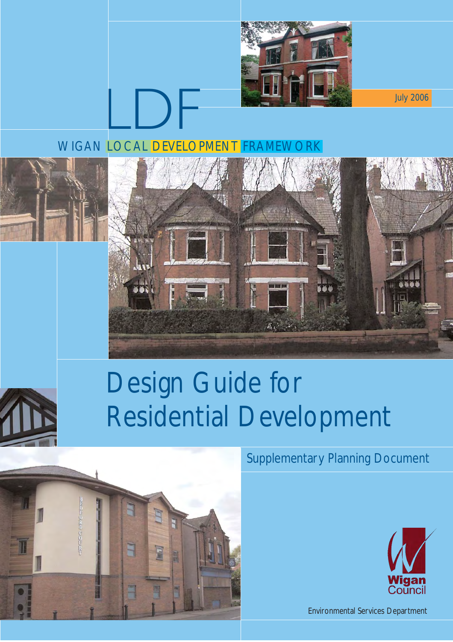

July 2006

#### WIGAN LOCAL DEVELOPMENT FRAMEWORK

LDF



# Design Guide for Residential Development



Supplementary Planning Document



Environmental Services Department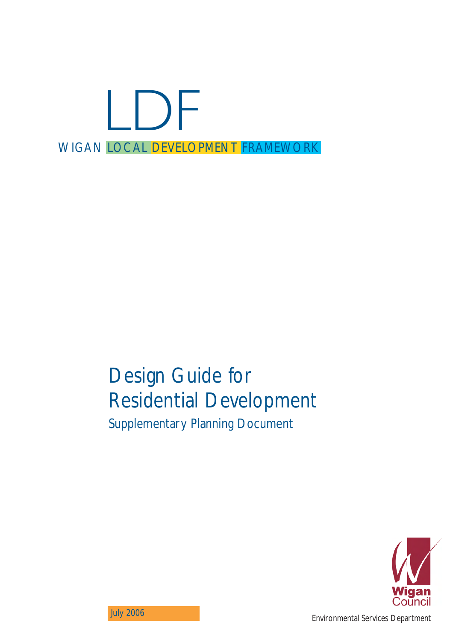

# Design Guide for Residential Development

Supplementary Planning Document



July 2006

Environmental Services Department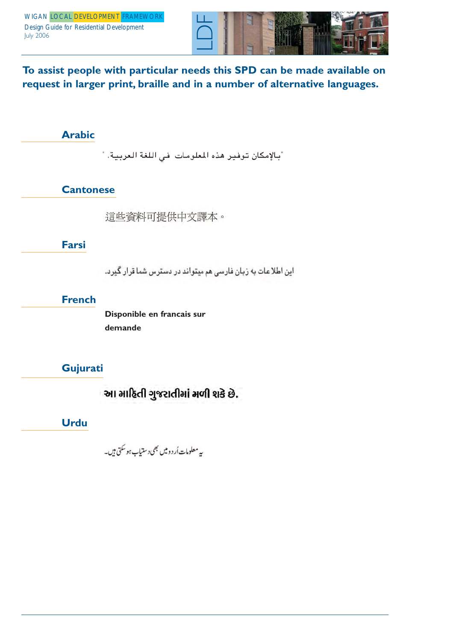**Arabic**



**To assist people with particular needs this SPD can be made available on request in larger print, braille and in a number of alternative languages.**

|                  | "بالإمكان توفير هذه المعلومات في اللغة العربية. "            |
|------------------|--------------------------------------------------------------|
| <b>Cantonese</b> |                                                              |
|                  | 這些資料可提供中文譯本。                                                 |
| <b>Farsi</b>     |                                                              |
|                  | این اطلاعات به زبان فارسی هم میتواند در دسترس شما قرار گیرد. |
| <b>French</b>    |                                                              |
|                  | Disponible en francais sur                                   |
|                  | demande                                                      |
| Gujurati         |                                                              |
|                  | આ માહિતી ગુજરાતીમાં મળી શકે છે.                              |

**Urdu**

ىيەمعلومات *أر*دوميں بھىدستياب ہوسكتى ہيں۔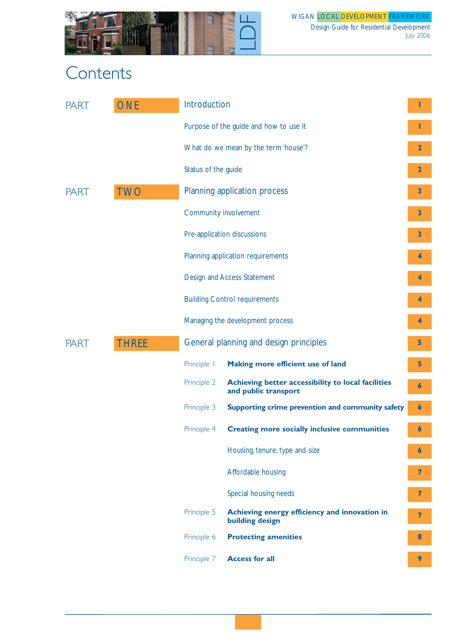

# **Contents**

| <b>PART</b> | <b>ONE</b>   | Introduction                 |                                                                            |                         |
|-------------|--------------|------------------------------|----------------------------------------------------------------------------|-------------------------|
|             |              |                              | Purpose of the guide and how to use it                                     |                         |
|             |              |                              | What do we mean by the term 'house'?                                       | $\overline{\mathbf{2}}$ |
|             |              | Status of the guide          |                                                                            | $\overline{\mathbf{2}}$ |
| <b>PART</b> | <b>TWO</b>   |                              | <b>Planning application process</b>                                        | 3                       |
|             |              | <b>Community involvement</b> |                                                                            | $\overline{\mathbf{3}}$ |
|             |              |                              | Pre-application discussions                                                | $\overline{\mathbf{3}}$ |
|             |              |                              | Planning application requirements                                          | 4                       |
|             |              |                              | <b>Design and Access Statement</b>                                         | 4                       |
|             |              |                              | <b>Building Control requirements</b>                                       | 4                       |
|             |              |                              | Managing the development process                                           | 4                       |
| <b>PART</b> | <b>THREE</b> |                              | General planning and design principles                                     | 5                       |
|             |              | Principle 1                  | Making more efficient use of land                                          | 5                       |
|             |              | Principle 2                  | Achieving better accessibility to local facilities<br>and public transport | $\boldsymbol{6}$        |
|             |              | Principle 3                  | Supporting crime prevention and community safety                           | $\boldsymbol{6}$        |
|             |              | Principle 4                  | <b>Creating more socially inclusive communities</b>                        | 6                       |
|             |              |                              | Housing, tenure, type and size                                             | 6                       |
|             |              |                              | Affordable housing                                                         | 7                       |
|             |              |                              | Special housing needs                                                      | $\overline{7}$          |
|             |              | Principle 5                  | Achieving energy efficiency and innovation in<br>building design           | 7                       |
|             |              | Principle 6                  | <b>Protecting amenities</b>                                                | 8                       |
|             |              | Principle 7                  | <b>Access for all</b>                                                      | 9                       |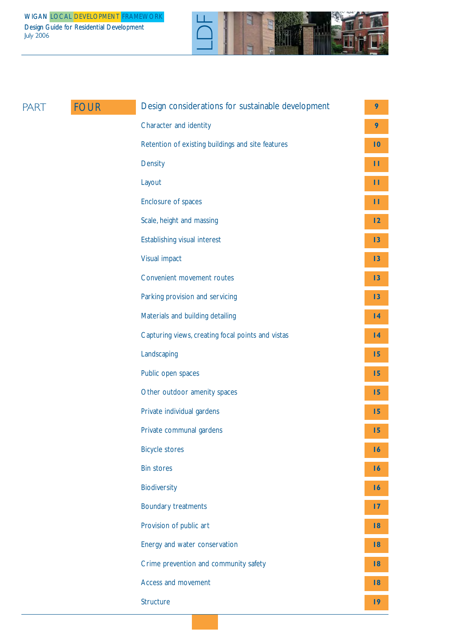

#### PART **FOUR**

| Design considerations for sustainable development | 9               |
|---------------------------------------------------|-----------------|
| Character and identity                            | 9               |
| Retention of existing buildings and site features | $\overline{10}$ |
| <b>Density</b>                                    | п               |
| Layout                                            | п               |
| Enclosure of spaces                               | п               |
| Scale, height and massing                         | 12              |
| <b>Establishing visual interest</b>               | 13              |
| <b>Visual impact</b>                              | 13              |
| Convenient movement routes                        | 13              |
| Parking provision and servicing                   | 13              |
| Materials and building detailing                  | 4               |
| Capturing views, creating focal points and vistas | 4               |
| Landscaping                                       | 15              |
| Public open spaces                                | 15              |
| Other outdoor amenity spaces                      | 15              |
| Private individual gardens                        | 15              |
| Private communal gardens                          | 15              |
| <b>Bicycle stores</b>                             | 16              |
| <b>Bin stores</b>                                 | 16              |
| <b>Biodiversity</b>                               | 16              |
| <b>Boundary treatments</b>                        | 17              |
| Provision of public art                           | 18              |
| Energy and water conservation                     | 18              |
| Crime prevention and community safety             | 18              |
| Access and movement                               | 18              |
| <b>Structure</b>                                  | 19              |
|                                                   |                 |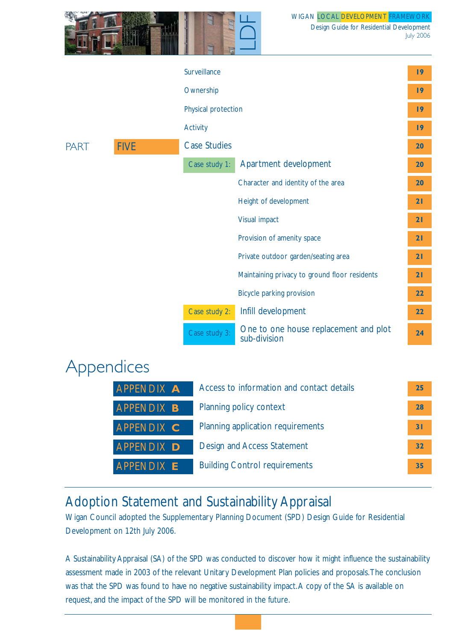

|             |                | Surveillance        |                                                       | 19     |
|-------------|----------------|---------------------|-------------------------------------------------------|--------|
|             |                | Ownership           |                                                       | 19     |
|             |                | Physical protection |                                                       | 19     |
|             |                | <b>Activity</b>     |                                                       | 19     |
| <b>PART</b> | <b>FIVE</b>    | <b>Case Studies</b> |                                                       | 20     |
|             |                | Case study 1:       | Apartment development                                 | 20     |
|             |                |                     | Character and identity of the area                    | 20     |
|             |                |                     | Height of development                                 | 21     |
|             |                |                     | Visual impact                                         | 21     |
|             |                |                     | Provision of amenity space                            | 21     |
|             |                |                     | Private outdoor garden/seating area                   | 21     |
|             |                |                     | Maintaining privacy to ground floor residents         | 21     |
|             |                |                     | <b>Bicycle parking provision</b>                      | 22     |
|             |                | Case study 2:       | Infill development                                    | 22     |
|             |                | Case study 3:       | One to one house replacement and plot<br>sub-division | 24     |
|             | pendices       |                     |                                                       |        |
|             | <b>CAIDIVA</b> |                     | A second to information and context details           | $\sim$ |

| <b>APPENDIX A</b> | Access to information and contact details | 25        |
|-------------------|-------------------------------------------|-----------|
| <b>APPENDIX B</b> | Planning policy context                   | 28        |
| APPENDIX C        | Planning application requirements         | <b>31</b> |
| <b>APPENDIX D</b> | <b>Design and Access Statement</b>        | 32        |
| APPENDIX E        | <b>Building Control requirements</b>      | 35        |

#### Adoption Statement and Sustainability Appraisal

Wigan Council adopted the Supplementary Planning Document (SPD) Design Guide for Residential Development on 12th July 2006.

A Sustainability Appraisal (SA) of the SPD was conducted to discover how it might influence the sustainability assessment made in 2003 of the relevant Unitary Development Plan policies and proposals.The conclusion was that the SPD was found to have no negative sustainability impact.A copy of the SA is available on request, and the impact of the SPD will be monitored in the future.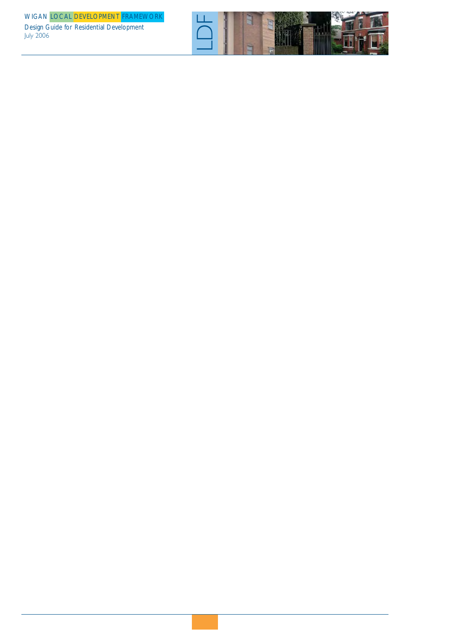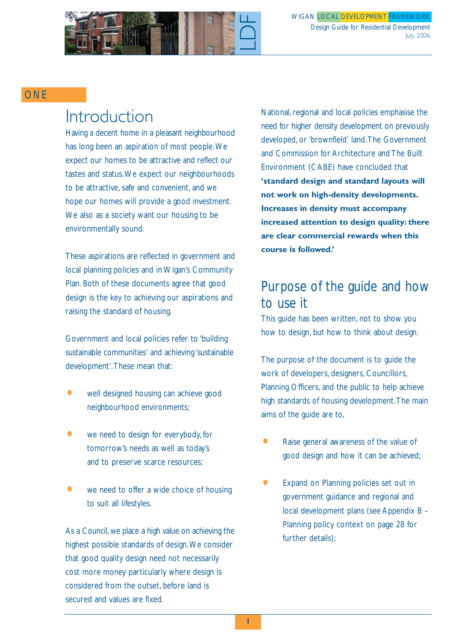

#### **ONE**

# Introduction

Having a decent home in a pleasant neighbourhood has long been an aspiration of most people.We expect our homes to be attractive and reflect our tastes and status.We expect our neighbourhoods to be attractive, safe and convenient, and we hope our homes will provide a good investment. We also as a society want our housing to be environmentally sound.

These aspirations are reflected in government and local planning policies and in Wigan's Community Plan. Both of these documents agree that good design is the key to achieving our aspirations and raising the standard of housing.

Government and local policies refer to 'building sustainable communities' and achieving 'sustainable development'.These mean that:

- well designed housing can achieve good neighbourhood environments;
- we need to design for everybody, for tomorrow's needs as well as today's and to preserve scarce resources;
- we need to offer a wide choice of housing to suit all lifestyles.

As a Council, we place a high value on achieving the highest possible standards of design.We consider that good quality design need not necessarily cost more money particularly where design is considered from the outset, before land is secured and values are fixed.

National, regional and local policies emphasise the need for higher density development on previously developed, or 'brownfield' land.The Government and Commission for Architecture and The Built Environment (CABE) have concluded that **'standard design and standard layouts will not work on high-density developments. Increases in density must accompany increased attention to design quality: there are clear commercial rewards when this course is followed.'**

#### Purpose of the guide and how to use it

This guide has been written, not to show you how to design, but how to think about design.

The purpose of the document is to guide the work of developers, designers, Councillors, Planning Officers, and the public to help achieve high standards of housing development.The main aims of the guide are to,

- Raise general awareness of the value of good design and how it can be achieved;
- Expand on Planning policies set out in government guidance and regional and local development plans (see Appendix B – Planning policy context on page 28 for further details);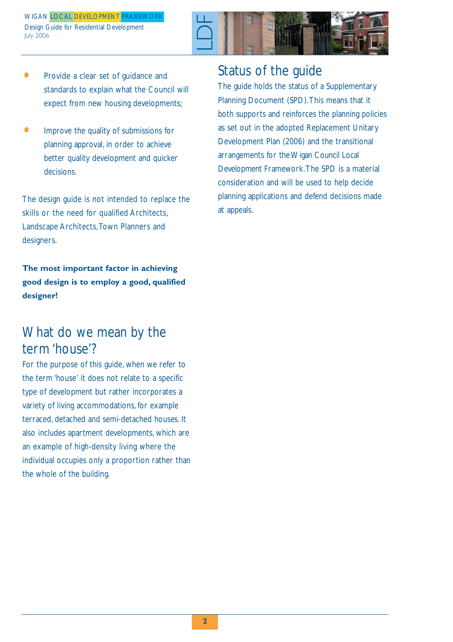WIGAN LOCAL DEVELOPMENT FRAMEWORK Design Guide for Residential Development July 2006



- Provide a clear set of guidance and standards to explain what the Council will expect from new housing developments;
- Improve the quality of submissions for planning approval, in order to achieve better quality development and quicker decisions.

The design guide is not intended to replace the skills or the need for qualified Architects, Landscape Architects,Town Planners and designers.

**The most important factor in achieving good design is to employ a good, qualified designer!**

#### What do we mean by the term 'house'?

For the purpose of this guide, when we refer to the term 'house' it does not relate to a specific type of development but rather incorporates a variety of living accommodations, for example terraced, detached and semi-detached houses. It also includes apartment developments, which are an example of high-density living where the individual occupies only a proportion rather than the whole of the building.

#### Status of the guide

The guide holds the status of a Supplementary Planning Document (SPD).This means that it both supports and reinforces the planning policies as set out in the adopted Replacement Unitary Development Plan (2006) and the transitional arrangements for the Wigan Council Local Development Framework.The SPD is a material consideration and will be used to help decide planning applications and defend decisions made at appeals.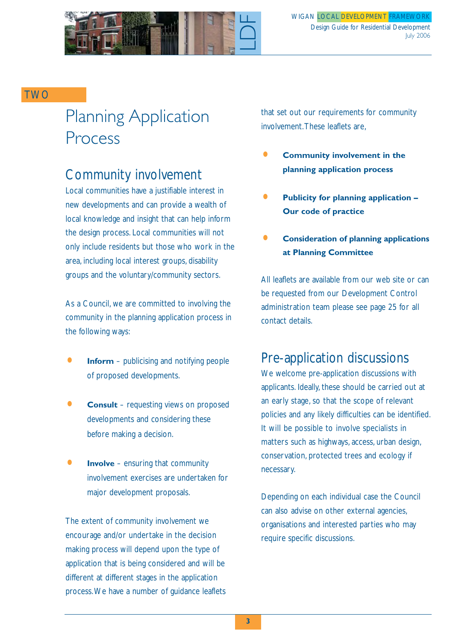

#### **TWO**

# Planning Application Process

### Community involvement

Local communities have a justifiable interest in new developments and can provide a wealth of local knowledge and insight that can help inform the design process. Local communities will not only include residents but those who work in the area, including local interest groups, disability groups and the voluntary/community sectors.

As a Council, we are committed to involving the community in the planning application process in the following ways:

- **Inform** publicising and notifying people of proposed developments.
- **Consult** requesting views on proposed developments and considering these before making a decision.
- **Involve** ensuring that community involvement exercises are undertaken for major development proposals.

The extent of community involvement we encourage and/or undertake in the decision making process will depend upon the type of application that is being considered and will be different at different stages in the application process.We have a number of guidance leaflets that set out our requirements for community involvement.These leaflets are,

- **Community involvement in the planning application process**
- **Publicity for planning application – Our code of practice**
- **Consideration of planning applications at Planning Committee**

All leaflets are available from our web site or can be requested from our Development Control administration team please see page 25 for all contact details.

#### Pre-application discussions

We welcome pre-application discussions with applicants. Ideally, these should be carried out at an early stage, so that the scope of relevant policies and any likely difficulties can be identified. It will be possible to involve specialists in matters such as highways, access, urban design, conservation, protected trees and ecology if necessary.

Depending on each individual case the Council can also advise on other external agencies, organisations and interested parties who may require specific discussions.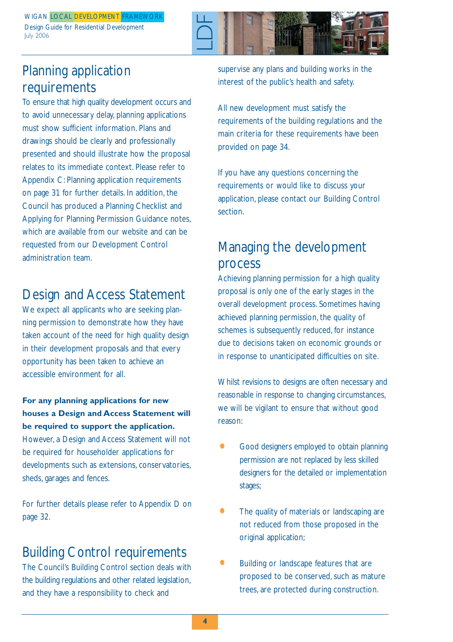WIGAN LOCAL DEVELOPMENT FRAMEWORK Design Guide for Residential Development July 2006



#### Planning application requirements

To ensure that high quality development occurs and to avoid unnecessary delay, planning applications must show sufficient information. Plans and drawings should be clearly and professionally presented and should illustrate how the proposal relates to its immediate context. Please refer to Appendix C: Planning application requirements on page 31 for further details. In addition, the Council has produced a Planning Checklist and Applying for Planning Permission Guidance notes, which are available from our website and can be requested from our Development Control administration team.

#### Design and Access Statement

We expect all applicants who are seeking planning permission to demonstrate how they have taken account of the need for high quality design in their development proposals and that every opportunity has been taken to achieve an accessible environment for all.

**For any planning applications for new houses a Design and Access Statement will be required to support the application.**

However, a Design and Access Statement will not be required for householder applications for developments such as extensions, conservatories, sheds, garages and fences.

For further details please refer to Appendix D on page 32.

#### Building Control requirements

The Council's Building Control section deals with the building regulations and other related legislation, and they have a responsibility to check and

supervise any plans and building works in the interest of the public's health and safety.

All new development must satisfy the requirements of the building regulations and the main criteria for these requirements have been provided on page 34.

If you have any questions concerning the requirements or would like to discuss your application, please contact our Building Control section.

### Managing the development process

Achieving planning permission for a high quality proposal is only one of the early stages in the overall development process. Sometimes having achieved planning permission, the quality of schemes is subsequently reduced, for instance due to decisions taken on economic grounds or in response to unanticipated difficulties on site.

Whilst revisions to designs are often necessary and reasonable in response to changing circumstances, we will be vigilant to ensure that without good reason:

- Good designers employed to obtain planning permission are not replaced by less skilled designers for the detailed or implementation stages;
- The quality of materials or landscaping are not reduced from those proposed in the original application;
- Building or landscape features that are proposed to be conserved, such as mature trees, are protected during construction.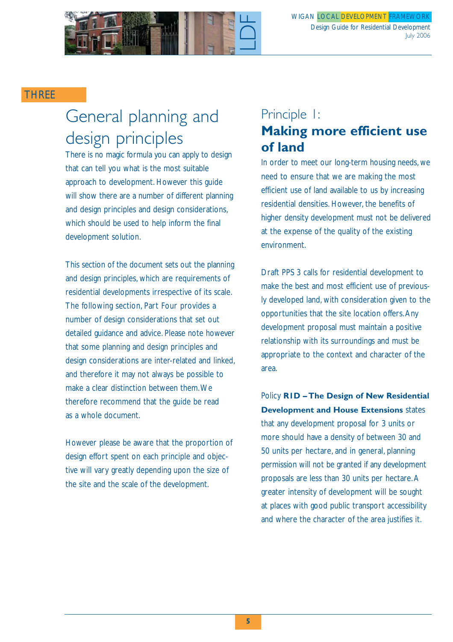LDF



# General planning and design principles

There is no magic formula you can apply to design that can tell you what is the most suitable approach to development. However this guide will show there are a number of different planning and design principles and design considerations, which should be used to help inform the final development solution.

This section of the document sets out the planning and design principles, which are requirements of residential developments irrespective of its scale. The following section, Part Four provides a number of design considerations that set out detailed guidance and advice. Please note however that some planning and design principles and design considerations are inter-related and linked, and therefore it may not always be possible to make a clear distinction between them.We therefore recommend that the guide be read as a whole document.

However please be aware that the proportion of design effort spent on each principle and objective will vary greatly depending upon the size of the site and the scale of the development.

#### Principle 1: **Making more efficient use of land**

In order to meet our long-term housing needs, we need to ensure that we are making the most efficient use of land available to us by increasing residential densities. However, the benefits of higher density development must not be delivered at the expense of the quality of the existing environment.

Draft PPS 3 calls for residential development to make the best and most efficient use of previously developed land, with consideration given to the opportunities that the site location offers.Any development proposal must maintain a positive relationship with its surroundings and must be appropriate to the context and character of the area.

Policy **R1D – The Design of New Residential Development and House Extensions** states that any development proposal for 3 units or more should have a density of between 30 and 50 units per hectare, and in general, planning permission will not be granted if any development proposals are less than 30 units per hectare.A greater intensity of development will be sought at places with good public transport accessibility and where the character of the area justifies it.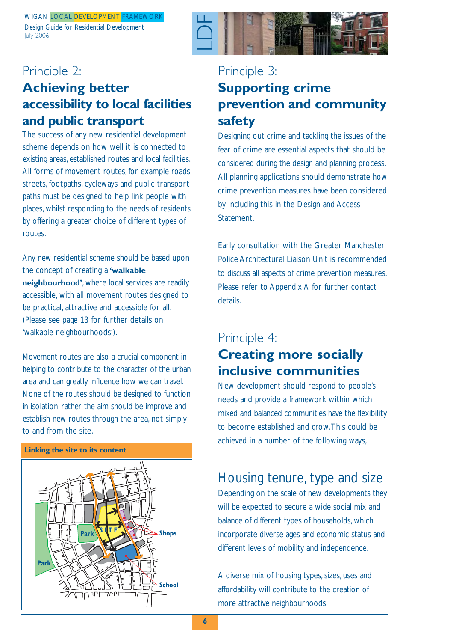# LDF

#### Principle 2:

# **Achieving better accessibility to local facilities and public transport**

The success of any new residential development scheme depends on how well it is connected to existing areas, established routes and local facilities. All forms of movement routes, for example roads, streets, footpaths, cycleways and public transport paths must be designed to help link people with places, whilst responding to the needs of residents by offering a greater choice of different types of routes.

Any new residential scheme should be based upon the concept of creating a **'walkable neighbourhood'**, where local services are readily accessible, with all movement routes designed to be practical, attractive and accessible for all. (Please see page 13 for further details on 'walkable neighbourhoods').

Movement routes are also a crucial component in helping to contribute to the character of the urban area and can greatly influence how we can travel. None of the routes should be designed to function in isolation, rather the aim should be improve and establish new routes through the area, not simply to and from the site.



## Principle 3: **Supporting crime prevention and community safety**

Designing out crime and tackling the issues of the fear of crime are essential aspects that should be considered during the design and planning process. All planning applications should demonstrate how crime prevention measures have been considered by including this in the Design and Access Statement.

Early consultation with the Greater Manchester Police Architectural Liaison Unit is recommended to discuss all aspects of crime prevention measures. Please refer to Appendix A for further contact details.

#### Principle 4: **Creating more socially inclusive communities**

New development should respond to people's needs and provide a framework within which mixed and balanced communities have the flexibility to become established and grow.This could be achieved in a number of the following ways,

# Housing tenure, type and size

Depending on the scale of new developments they will be expected to secure a wide social mix and balance of different types of households, which incorporate diverse ages and economic status and different levels of mobility and independence.

A diverse mix of housing types, sizes, uses and affordability will contribute to the creation of more attractive neighbourhoods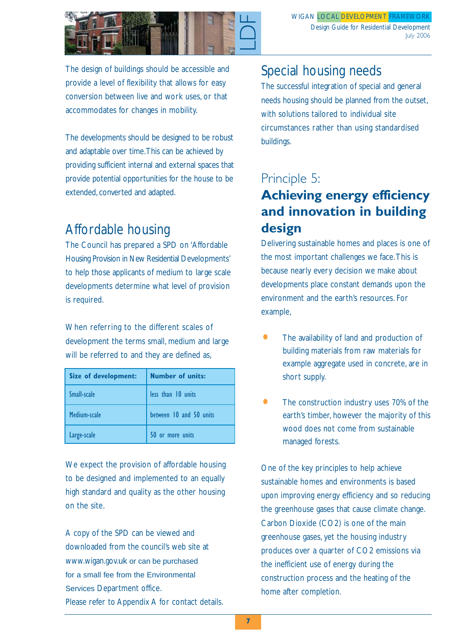

The design of buildings should be accessible and provide a level of flexibility that allows for easy conversion between live and work uses, or that accommodates for changes in mobility.

The developments should be designed to be robust and adaptable over time.This can be achieved by providing sufficient internal and external spaces that provide potential opportunities for the house to be extended, converted and adapted.

### Affordable housing

The Council has prepared a SPD on 'Affordable Housing Provision in New Residential Developments' to help those applicants of medium to large scale developments determine what level of provision is required.

When referring to the different scales of development the terms small, medium and large will be referred to and they are defined as,

| <b>Size of development:</b> | <b>Number</b> of units: |
|-----------------------------|-------------------------|
| Small-scale                 | less than 10 units      |
| Medium-scale                | between 10 and 50 units |
| Large-scale                 | 50 or more units        |

We expect the provision of affordable housing to be designed and implemented to an equally high standard and quality as the other housing on the site.

A copy of the SPD can be viewed and downloaded from the council's web site at www.wigan.gov.uk or can be purchased for a small fee from the Environmental Services Department office. Please refer to Appendix A for contact details.

buildings.

**design**

### Principle 5: **Achieving energy efficiency and innovation in building**

Special housing needs

with solutions tailored to individual site

The successful integration of special and general needs housing should be planned from the outset,

circumstances rather than using standardised

Delivering sustainable homes and places is one of the most important challenges we face.This is because nearly every decision we make about developments place constant demands upon the environment and the earth's resources. For example,

- The availability of land and production of building materials from raw materials for example aggregate used in concrete, are in short supply.
- The construction industry uses 70% of the earth's timber, however the majority of this wood does not come from sustainable managed forests.

One of the key principles to help achieve sustainable homes and environments is based upon improving energy efficiency and so reducing the greenhouse gases that cause climate change. Carbon Dioxide (CO2) is one of the main greenhouse gases, yet the housing industry produces over a quarter of CO2 emissions via the inefficient use of energy during the construction process and the heating of the home after completion.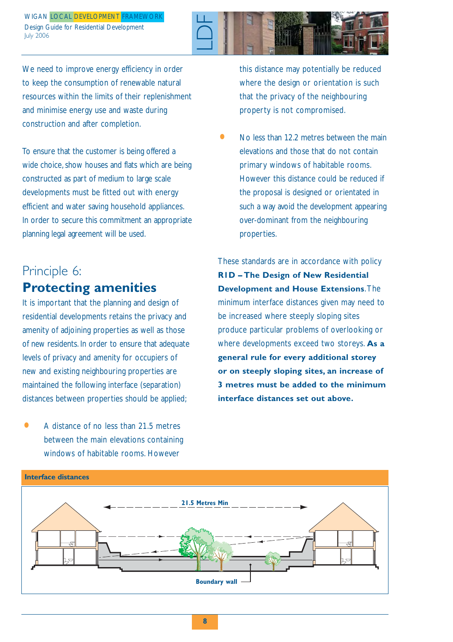WIGAN LOCAL DEVELOPMENT FRAMEWORK Design Guide for Residential Development July 2006

We need to improve energy efficiency in order to keep the consumption of renewable natural resources within the limits of their replenishment and minimise energy use and waste during construction and after completion.

To ensure that the customer is being offered a wide choice, show houses and flats which are being constructed as part of medium to large scale developments must be fitted out with energy efficient and water saving household appliances. In order to secure this commitment an appropriate planning legal agreement will be used.

#### Principle 6: **Protecting amenities**

It is important that the planning and design of residential developments retains the privacy and amenity of adjoining properties as well as those of new residents. In order to ensure that adequate levels of privacy and amenity for occupiers of new and existing neighbouring properties are maintained the following interface (separation) distances between properties should be applied;

• A distance of no less than 21.5 metres between the main elevations containing windows of habitable rooms. However

this distance may potentially be reduced where the design or orientation is such that the privacy of the neighbouring property is not compromised.

No less than 12.2 metres between the main elevations and those that do not contain primary windows of habitable rooms. However this distance could be reduced if the proposal is designed or orientated in such a way avoid the development appearing over-dominant from the neighbouring properties.

These standards are in accordance with policy **R1D – The Design of New Residential Development and House Extensions**.The minimum interface distances given may need to be increased where steeply sloping sites produce particular problems of overlooking or where developments exceed two storeys. **As a general rule for every additional storey or on steeply sloping sites, an increase of 3 metres must be added to the minimum interface distances set out above.**



LDF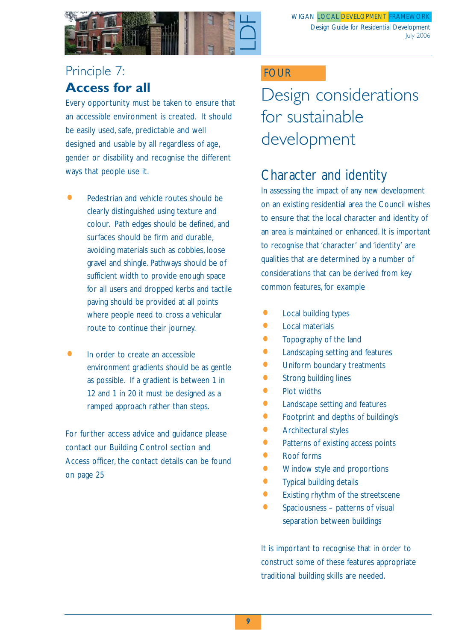

#### Principle 7: **Access for all**

Every opportunity must be taken to ensure that an accessible environment is created. It should be easily used, safe, predictable and well designed and usable by all regardless of age, gender or disability and recognise the different ways that people use it.

- Pedestrian and vehicle routes should be clearly distinguished using texture and colour. Path edges should be defined, and surfaces should be firm and durable, avoiding materials such as cobbles, loose gravel and shingle. Pathways should be of sufficient width to provide enough space for all users and dropped kerbs and tactile paving should be provided at all points where people need to cross a vehicular route to continue their journey.
- In order to create an accessible environment gradients should be as gentle as possible. If a gradient is between 1 in 12 and 1 in 20 it must be designed as a ramped approach rather than steps.

For further access advice and guidance please contact our Building Control section and Access officer, the contact details can be found on page 25

#### FOUR

Design considerations for sustainable development

### Character and identity

In assessing the impact of any new development on an existing residential area the Council wishes to ensure that the local character and identity of an area is maintained or enhanced. It is important to recognise that 'character' and 'identity' are qualities that are determined by a number of considerations that can be derived from key common features, for example

- Local building types
- Local materials
- Topography of the land
- Landscaping setting and features<br>• **Liniform boundary treatments**
- Uniform boundary treatments
- Strong building lines
- Plot widths
- Landscape setting and features
- Footprint and depths of building/s
- Architectural styles
- Patterns of existing access points
- Roof forms
- Window style and proportions
- **Typical building details**
- Existing rhythm of the streetscene
- Spaciousness patterns of visual separation between buildings

It is important to recognise that in order to construct some of these features appropriate traditional building skills are needed.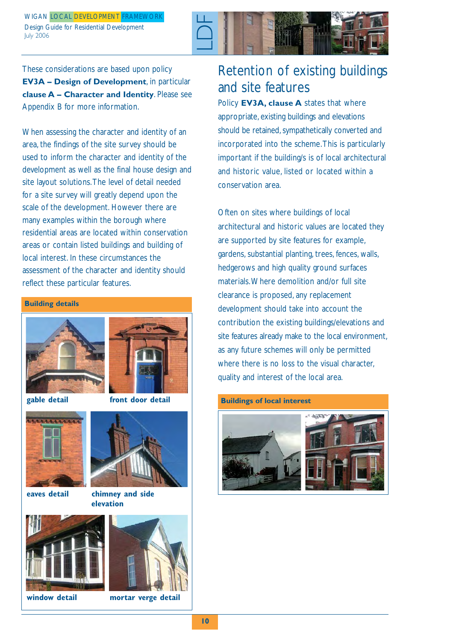These considerations are based upon policy **EV3A – Design of Development**, in particular **clause A – Character and Identity**. Please see Appendix B for more information.

When assessing the character and identity of an area, the findings of the site survey should be used to inform the character and identity of the development as well as the final house design and site layout solutions.The level of detail needed for a site survey will greatly depend upon the scale of the development. However there are many examples within the borough where residential areas are located within conservation areas or contain listed buildings and building of local interest. In these circumstances the assessment of the character and identity should reflect these particular features.

#### **Building details**







**eaves detail chimney and side elevation**









### Retention of existing buildings and site features

Policy **EV3A, clause A** states that where appropriate, existing buildings and elevations should be retained, sympathetically converted and incorporated into the scheme.This is particularly important if the building/s is of local architectural and historic value, listed or located within a conservation area.

Often on sites where buildings of local architectural and historic values are located they are supported by site features for example, gardens, substantial planting, trees, fences, walls, hedgerows and high quality ground surfaces materials.Where demolition and/or full site clearance is proposed, any replacement development should take into account the contribution the existing buildings/elevations and site features already make to the local environment, as any future schemes will only be permitted where there is no loss to the visual character. quality and interest of the local area.

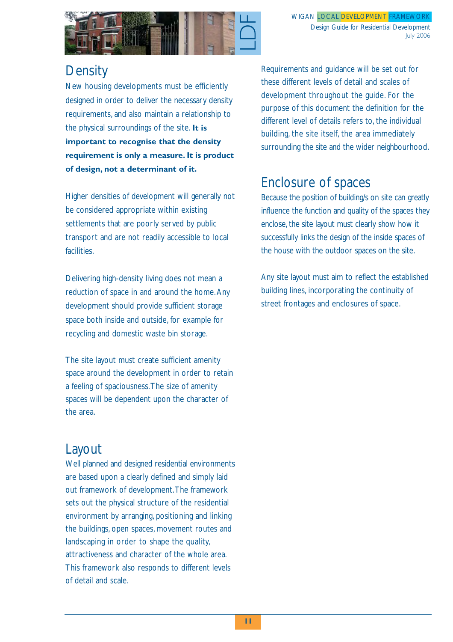

#### **Density**

New housing developments must be efficiently designed in order to deliver the necessary density requirements, and also maintain a relationship to the physical surroundings of the site. **It is important to recognise that the density requirement is only a measure. It is product of design, not a determinant of it.**

Higher densities of development will generally not be considered appropriate within existing settlements that are poorly served by public transport and are not readily accessible to local facilities.

Delivering high-density living does not mean a reduction of space in and around the home.Any development should provide sufficient storage space both inside and outside, for example for recycling and domestic waste bin storage.

The site layout must create sufficient amenity space around the development in order to retain a feeling of spaciousness.The size of amenity spaces will be dependent upon the character of the area.

### Layout

Well planned and designed residential environments are based upon a clearly defined and simply laid out framework of development.The framework sets out the physical structure of the residential environment by arranging, positioning and linking the buildings, open spaces, movement routes and landscaping in order to shape the quality, attractiveness and character of the whole area. This framework also responds to different levels of detail and scale.

Requirements and guidance will be set out for these different levels of detail and scales of development throughout the guide. For the purpose of this document the definition for the different level of details refers to, the individual building, the site itself, the area immediately surrounding the site and the wider neighbourhood.

#### Enclosure of spaces

Because the position of building/s on site can greatly influence the function and quality of the spaces they enclose, the site layout must clearly show how it successfully links the design of the inside spaces of the house with the outdoor spaces on the site.

Any site layout must aim to reflect the established building lines, incorporating the continuity of street frontages and enclosures of space.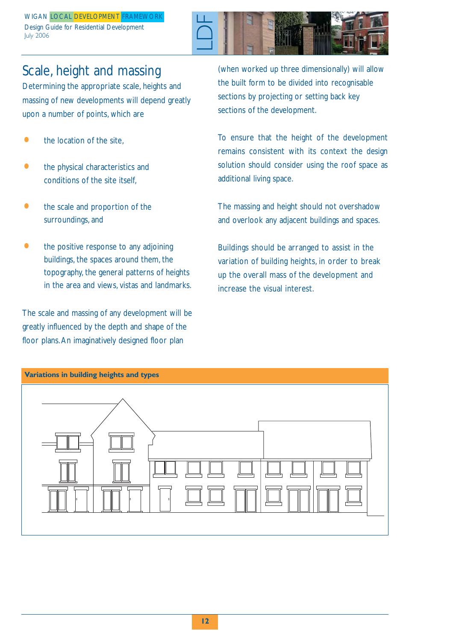

#### Scale, height and massing

Determining the appropriate scale, heights and massing of new developments will depend greatly upon a number of points, which are

- the location of the site.
- the physical characteristics and conditions of the site itself,
- the scale and proportion of the surroundings, and
- the positive response to any adjoining buildings, the spaces around them, the topography, the general patterns of heights in the area and views, vistas and landmarks.

The scale and massing of any development will be greatly influenced by the depth and shape of the floor plans.An imaginatively designed floor plan

(when worked up three dimensionally) will allow the built form to be divided into recognisable sections by projecting or setting back key sections of the development.

To ensure that the height of the development remains consistent with its context the design solution should consider using the roof space as additional living space.

The massing and height should not overshadow and overlook any adjacent buildings and spaces.

Buildings should be arranged to assist in the variation of building heights, in order to break up the overall mass of the development and increase the visual interest.

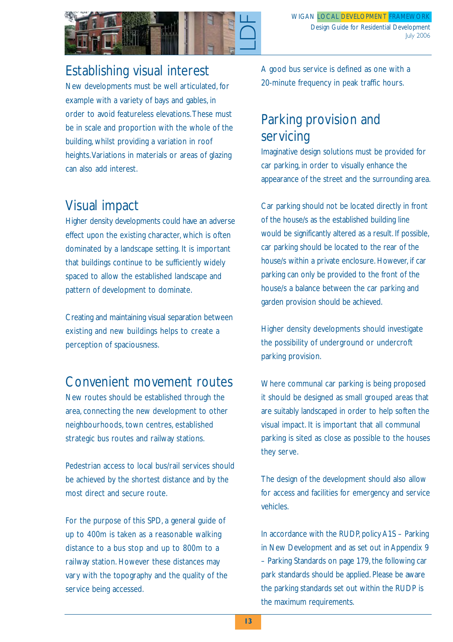

#### Establishing visual interest

New developments must be well articulated, for example with a variety of bays and gables, in order to avoid featureless elevations.These must be in scale and proportion with the whole of the building, whilst providing a variation in roof heights.Variations in materials or areas of glazing can also add interest.

### Visual impact

Higher density developments could have an adverse effect upon the existing character, which is often dominated by a landscape setting. It is important that buildings continue to be sufficiently widely spaced to allow the established landscape and pattern of development to dominate.

Creating and maintaining visual separation between existing and new buildings helps to create a perception of spaciousness.

#### Convenient movement routes

New routes should be established through the area, connecting the new development to other neighbourhoods, town centres, established strategic bus routes and railway stations.

Pedestrian access to local bus/rail services should be achieved by the shortest distance and by the most direct and secure route.

For the purpose of this SPD, a general guide of up to 400m is taken as a reasonable walking distance to a bus stop and up to 800m to a railway station. However these distances may vary with the topography and the quality of the service being accessed.

A good bus service is defined as one with a 20-minute frequency in peak traffic hours.

### Parking provision and servicing

Imaginative design solutions must be provided for car parking, in order to visually enhance the appearance of the street and the surrounding area.

Car parking should not be located directly in front of the house/s as the established building line would be significantly altered as a result. If possible, car parking should be located to the rear of the house/s within a private enclosure. However, if car parking can only be provided to the front of the house/s a balance between the car parking and garden provision should be achieved.

Higher density developments should investigate the possibility of underground or undercroft parking provision.

Where communal car parking is being proposed it should be designed as small grouped areas that are suitably landscaped in order to help soften the visual impact. It is important that all communal parking is sited as close as possible to the houses they serve.

The design of the development should also allow for access and facilities for emergency and service vehicles.

In accordance with the RUDP, policy A1S – Parking in New Development and as set out in Appendix 9 – Parking Standards on page 179, the following car park standards should be applied. Please be aware the parking standards set out within the RUDP is the maximum requirements.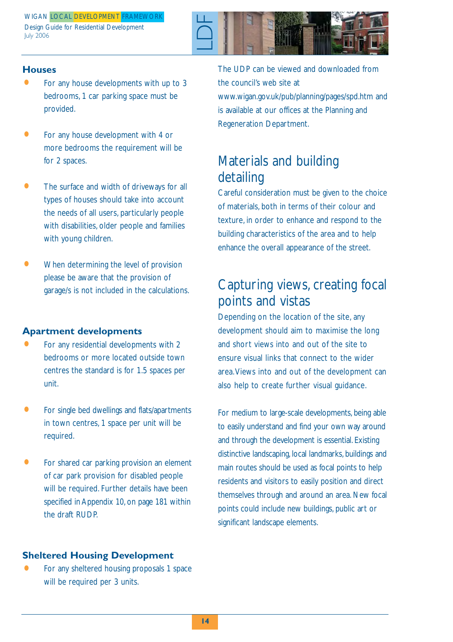WIGAN LOCAL DEVELOPMENT FRAMEWORK Design Guide for Residential Development July 2006

#### **Houses**

- For any house developments with up to 3 bedrooms, 1 car parking space must be provided.
- For any house development with 4 or more bedrooms the requirement will be for 2 spaces.
- The surface and width of driveways for all types of houses should take into account the needs of all users, particularly people with disabilities, older people and families with young children.
- When determining the level of provision please be aware that the provision of garage/s is not included in the calculations.

#### **Apartment developments**

- For any residential developments with 2 bedrooms or more located outside town centres the standard is for 1.5 spaces per unit.
- For single bed dwellings and flats/apartments in town centres, 1 space per unit will be required.
- For shared car parking provision an element of car park provision for disabled people will be required. Further details have been specified in Appendix 10, on page 181 within the draft RUDP.



The UDP can be viewed and downloaded from the council's web site at www.wigan.gov.uk/pub/planning/pages/spd.htm and is available at our offices at the Planning and Regeneration Department.

### Materials and building detailing

Careful consideration must be given to the choice of materials, both in terms of their colour and texture, in order to enhance and respond to the building characteristics of the area and to help enhance the overall appearance of the street.

#### Capturing views, creating focal points and vistas

Depending on the location of the site, any development should aim to maximise the long and short views into and out of the site to ensure visual links that connect to the wider area.Views into and out of the development can also help to create further visual guidance.

For medium to large-scale developments, being able to easily understand and find your own way around and through the development is essential. Existing distinctive landscaping, local landmarks, buildings and main routes should be used as focal points to help residents and visitors to easily position and direct themselves through and around an area. New focal points could include new buildings, public art or significant landscape elements.

#### **Sheltered Housing Development**

• For any sheltered housing proposals 1 space will be required per 3 units.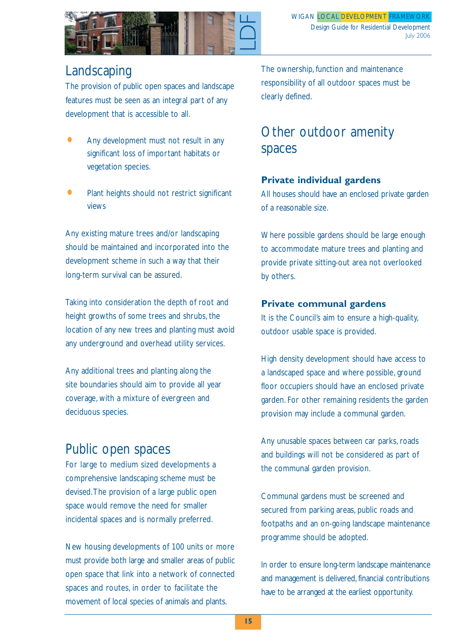

#### Landscaping

The provision of public open spaces and landscape features must be seen as an integral part of any development that is accessible to all.

- Any development must not result in any significant loss of important habitats or vegetation species.
- Plant heights should not restrict significant views

Any existing mature trees and/or landscaping should be maintained and incorporated into the development scheme in such a way that their long-term survival can be assured.

Taking into consideration the depth of root and height growths of some trees and shrubs, the location of any new trees and planting must avoid any underground and overhead utility services.

Any additional trees and planting along the site boundaries should aim to provide all year coverage, with a mixture of evergreen and deciduous species.

#### Public open spaces

For large to medium sized developments a comprehensive landscaping scheme must be devised.The provision of a large public open space would remove the need for smaller incidental spaces and is normally preferred.

New housing developments of 100 units or more must provide both large and smaller areas of public open space that link into a network of connected spaces and routes, in order to facilitate the movement of local species of animals and plants.

The ownership, function and maintenance responsibility of all outdoor spaces must be clearly defined.

### Other outdoor amenity spaces

#### **Private individual gardens**

All houses should have an enclosed private garden of a reasonable size.

Where possible gardens should be large enough to accommodate mature trees and planting and provide private sitting-out area not overlooked by others.

#### **Private communal gardens**

It is the Council's aim to ensure a high-quality, outdoor usable space is provided.

High density development should have access to a landscaped space and where possible, ground floor occupiers should have an enclosed private garden. For other remaining residents the garden provision may include a communal garden.

Any unusable spaces between car parks, roads and buildings will not be considered as part of the communal garden provision.

Communal gardens must be screened and secured from parking areas, public roads and footpaths and an on-going landscape maintenance programme should be adopted.

In order to ensure long-term landscape maintenance and management is delivered, financial contributions have to be arranged at the earliest opportunity.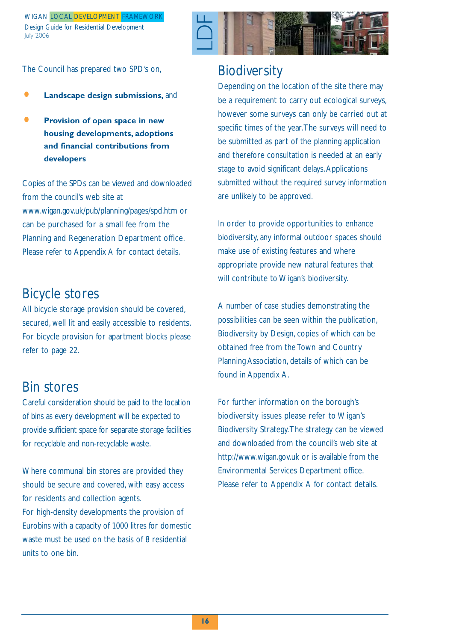

The Council has prepared two SPD's on,

- **Landscape design submissions,** and
- **Provision of open space in new housing developments, adoptions and financial contributions from developers**

Copies of the SPDs can be viewed and downloaded from the council's web site at www.wigan.gov.uk/pub/planning/pages/spd.htm or can be purchased for a small fee from the Planning and Regeneration Department office. Please refer to Appendix A for contact details.

#### Bicycle stores

All bicycle storage provision should be covered, secured, well lit and easily accessible to residents. For bicycle provision for apartment blocks please refer to page 22.

#### Bin stores

Careful consideration should be paid to the location of bins as every development will be expected to provide sufficient space for separate storage facilities for recyclable and non-recyclable waste.

Where communal bin stores are provided they should be secure and covered, with easy access for residents and collection agents. For high-density developments the provision of Eurobins with a capacity of 1000 litres for domestic waste must be used on the basis of 8 residential units to one bin.

#### **Biodiversity**

Depending on the location of the site there may be a requirement to carry out ecological surveys, however some surveys can only be carried out at specific times of the year.The surveys will need to be submitted as part of the planning application and therefore consultation is needed at an early stage to avoid significant delays.Applications submitted without the required survey information are unlikely to be approved.

In order to provide opportunities to enhance biodiversity, any informal outdoor spaces should make use of existing features and where appropriate provide new natural features that will contribute to Wigan's biodiversity.

A number of case studies demonstrating the possibilities can be seen within the publication, Biodiversity by Design, copies of which can be obtained free from the Town and Country Planning Association, details of which can be found in Appendix A.

For further information on the borough's biodiversity issues please refer to Wigan's Biodiversity Strategy.The strategy can be viewed and downloaded from the council's web site at http://www.wigan.gov.uk or is available from the Environmental Services Department office. Please refer to Appendix A for contact details.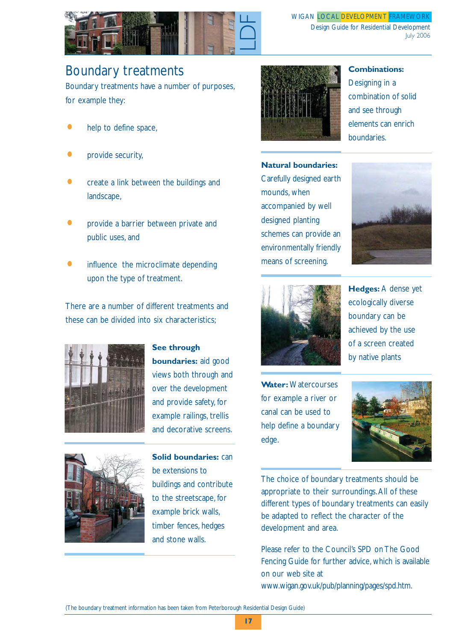

#### Boundary treatments

Boundary treatments have a number of purposes, for example they:

- help to define space,
- provide security,
- create a link between the buildings and landscape,
- provide a barrier between private and public uses, and
- influence the microclimate depending upon the type of treatment.

There are a number of different treatments and these can be divided into six characteristics;



**See through boundaries:** aid good views both through and over the development and provide safety, for example railings, trellis and decorative screens.



**Solid boundaries: Can** be extensions to buildings and contribute to the streetscape, for example brick walls, timber fences, hedges and stone walls.



**Combinations:** Designing in a combination of solid and see through elements can enrich boundaries.

**Natural boundaries:** Carefully designed earth mounds, when accompanied by well designed planting schemes can provide an environmentally friendly means of screening.





**Hedges:** A dense yet ecologically diverse boundary can be achieved by the use of a screen created by native plants

**Water:** Watercourses for example a river or canal can be used to help define a boundary edge.



The choice of boundary treatments should be appropriate to their surroundings.All of these different types of boundary treatments can easily be adapted to reflect the character of the development and area.

Please refer to the Council's SPD on The Good Fencing Guide for further advice, which is available on our web site at www.wigan.gov.uk/pub/planning/pages/spd.htm.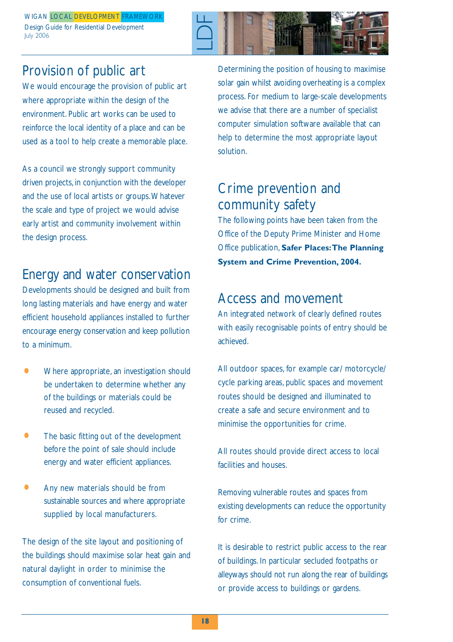WIGAN LOCAL DEVELOPMENT FRAMEWORK Design Guide for Residential Development July 2006



#### Provision of public art

We would encourage the provision of public art where appropriate within the design of the environment. Public art works can be used to reinforce the local identity of a place and can be used as a tool to help create a memorable place.

As a council we strongly support community driven projects, in conjunction with the developer and the use of local artists or groups.Whatever the scale and type of project we would advise early artist and community involvement within the design process.

#### Energy and water conservation

Developments should be designed and built from long lasting materials and have energy and water efficient household appliances installed to further encourage energy conservation and keep pollution to a minimum.

- Where appropriate, an investigation should be undertaken to determine whether any of the buildings or materials could be reused and recycled.
- The basic fitting out of the development before the point of sale should include energy and water efficient appliances.
- Any new materials should be from sustainable sources and where appropriate supplied by local manufacturers.

The design of the site layout and positioning of the buildings should maximise solar heat gain and natural daylight in order to minimise the consumption of conventional fuels.

Determining the position of housing to maximise solar gain whilst avoiding overheating is a complex process. For medium to large-scale developments we advise that there are a number of specialist computer simulation software available that can help to determine the most appropriate layout solution.

### Crime prevention and community safety

The following points have been taken from the Office of the Deputy Prime Minister and Home Office publication, **Safer Places:The Planning System and Crime Prevention, 2004.**

#### Access and movement

An integrated network of clearly defined routes with easily recognisable points of entry should be achieved.

All outdoor spaces, for example car/ motorcycle/ cycle parking areas, public spaces and movement routes should be designed and illuminated to create a safe and secure environment and to minimise the opportunities for crime.

All routes should provide direct access to local facilities and houses.

Removing vulnerable routes and spaces from existing developments can reduce the opportunity for crime.

It is desirable to restrict public access to the rear of buildings. In particular secluded footpaths or alleyways should not run along the rear of buildings or provide access to buildings or gardens.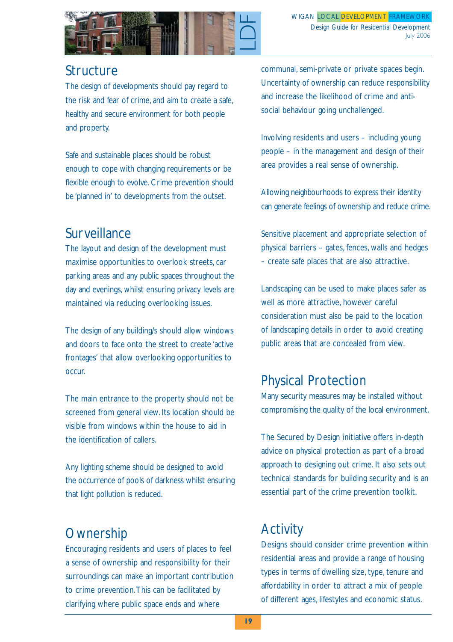

#### **Structure**

The design of developments should pay regard to the risk and fear of crime, and aim to create a safe, healthy and secure environment for both people and property.

Safe and sustainable places should be robust enough to cope with changing requirements or be flexible enough to evolve. Crime prevention should be 'planned in' to developments from the outset.

### Surveillance

The layout and design of the development must maximise opportunities to overlook streets, car parking areas and any public spaces throughout the day and evenings, whilst ensuring privacy levels are maintained via reducing overlooking issues.

The design of any building/s should allow windows and doors to face onto the street to create 'active frontages' that allow overlooking opportunities to occur.

The main entrance to the property should not be screened from general view. Its location should be visible from windows within the house to aid in the identification of callers.

Any lighting scheme should be designed to avoid the occurrence of pools of darkness whilst ensuring that light pollution is reduced.

#### **Ownership**

Encouraging residents and users of places to feel a sense of ownership and responsibility for their surroundings can make an important contribution to crime prevention.This can be facilitated by clarifying where public space ends and where

communal, semi-private or private spaces begin. Uncertainty of ownership can reduce responsibility and increase the likelihood of crime and antisocial behaviour going unchallenged.

Involving residents and users – including young people – in the management and design of their area provides a real sense of ownership.

Allowing neighbourhoods to express their identity can generate feelings of ownership and reduce crime.

Sensitive placement and appropriate selection of physical barriers – gates, fences, walls and hedges – create safe places that are also attractive.

Landscaping can be used to make places safer as well as more attractive, however careful consideration must also be paid to the location of landscaping details in order to avoid creating public areas that are concealed from view.

#### Physical Protection

Many security measures may be installed without compromising the quality of the local environment.

The Secured by Design initiative offers in-depth advice on physical protection as part of a broad approach to designing out crime. It also sets out technical standards for building security and is an essential part of the crime prevention toolkit.

#### **Activity**

Designs should consider crime prevention within residential areas and provide a range of housing types in terms of dwelling size, type, tenure and affordability in order to attract a mix of people of different ages, lifestyles and economic status.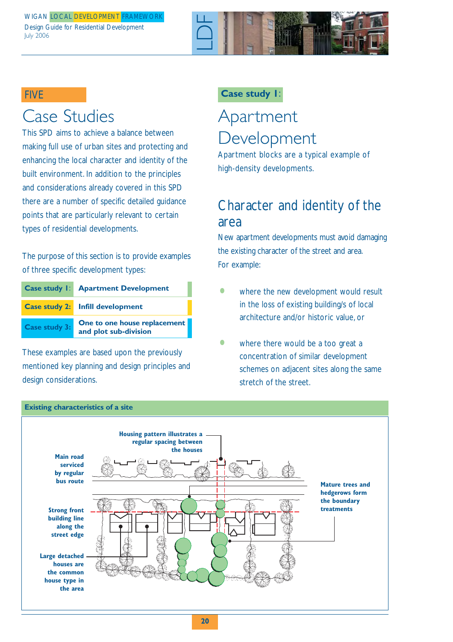

# Case Studies

This SPD aims to achieve a balance between making full use of urban sites and protecting and enhancing the local character and identity of the built environment. In addition to the principles and considerations already covered in this SPD there are a number of specific detailed guidance points that are particularly relevant to certain types of residential developments.

The purpose of this section is to provide examples of three specific development types:

|                      | <b>Case study 1: Apartment Development</b>            |
|----------------------|-------------------------------------------------------|
|                      | <b>Case study 2: Infill development</b>               |
| <b>Case study 3:</b> | One to one house replacement<br>and plot sub-division |

These examples are based upon the previously mentioned key planning and design principles and design considerations.

#### FIVE **Case study 1**:

# Apartment Development

Apartment blocks are a typical example of high-density developments.

### Character and identity of the area

New apartment developments must avoid damaging the existing character of the street and area. For example:

- where the new development would result in the loss of existing building/s of local architecture and/or historic value, or
- where there would be a too great a concentration of similar development schemes on adjacent sites along the same stretch of the street.

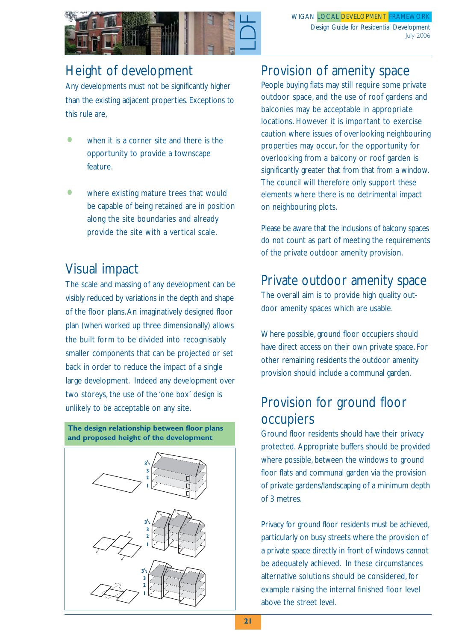

#### Height of development

Any developments must not be significantly higher than the existing adjacent properties. Exceptions to this rule are,

- when it is a corner site and there is the opportunity to provide a townscape feature.
- where existing mature trees that would be capable of being retained are in position along the site boundaries and already provide the site with a vertical scale.

### Visual impact

The scale and massing of any development can be visibly reduced by variations in the depth and shape of the floor plans.An imaginatively designed floor plan (when worked up three dimensionally) allows the built form to be divided into recognisably smaller components that can be projected or set back in order to reduce the impact of a single large development. Indeed any development over two storeys, the use of the 'one box' design is unlikely to be acceptable on any site.



#### Provision of amenity space

People buying flats may still require some private outdoor space, and the use of roof gardens and balconies may be acceptable in appropriate locations. However it is important to exercise caution where issues of overlooking neighbouring properties may occur, for the opportunity for overlooking from a balcony or roof garden is significantly greater that from that from a window. The council will therefore only support these elements where there is no detrimental impact on neighbouring plots.

Please be aware that the inclusions of balcony spaces do not count as part of meeting the requirements of the private outdoor amenity provision.

### Private outdoor amenity space

The overall aim is to provide high quality outdoor amenity spaces which are usable.

Where possible, ground floor occupiers should have direct access on their own private space. For other remaining residents the outdoor amenity provision should include a communal garden.

### Provision for ground floor occupiers

Ground floor residents should have their privacy protected. Appropriate buffers should be provided where possible, between the windows to ground floor flats and communal garden via the provision of private gardens/landscaping of a minimum depth of 3 metres.

Privacy for ground floor residents must be achieved, particularly on busy streets where the provision of a private space directly in front of windows cannot be adequately achieved. In these circumstances alternative solutions should be considered, for example raising the internal finished floor level above the street level.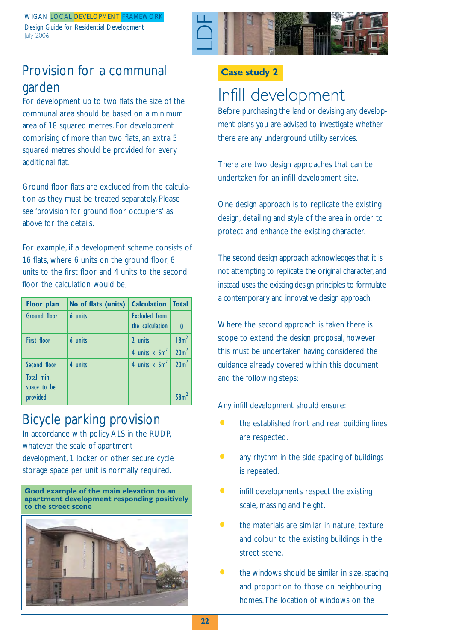

### Provision for a communal garden

For development up to two flats the size of the communal area should be based on a minimum area of 18 squared metres. For development comprising of more than two flats, an extra 5 squared metres should be provided for every additional flat.

Ground floor flats are excluded from the calculation as they must be treated separately. Please see 'provision for ground floor occupiers' as above for the details.

For example, if a development scheme consists of 16 flats, where 6 units on the ground floor, 6 units to the first floor and 4 units to the second floor the calculation would be,

| <b>Floor plan</b>                     | No of flats (units) | <b>Calculation   Total</b>              |                                      |
|---------------------------------------|---------------------|-----------------------------------------|--------------------------------------|
| Ground floor                          | 6 units             | <b>Excluded</b> from<br>the calculation | $\mathbf{0}$                         |
| <b>First floor</b>                    | <b>6</b> units      | 2 units<br>4 units $x 5m^2$             | 18m <sup>2</sup><br>20m <sup>2</sup> |
| Second floor                          | 4 units             | 4 units $x 5m^2$ 20m <sup>2</sup>       |                                      |
| Total min.<br>space to be<br>provided |                     |                                         | 58m                                  |

#### Bicycle parking provision

In accordance with policy A1S in the RUDP, whatever the scale of apartment

development, 1 locker or other secure cycle storage space per unit is normally required.



#### **Case study 2**:

# Infill development

Before purchasing the land or devising any development plans you are advised to investigate whether there are any underground utility services.

There are two design approaches that can be undertaken for an infill development site.

One design approach is to replicate the existing design, detailing and style of the area in order to protect and enhance the existing character.

The second design approach acknowledges that it is not attempting to replicate the original character, and instead uses the existing design principles to formulate a contemporary and innovative design approach.

Where the second approach is taken there is scope to extend the design proposal, however this must be undertaken having considered the guidance already covered within this document and the following steps:

Any infill development should ensure:

- the established front and rear building lines are respected.
- any rhythm in the side spacing of buildings is repeated.
- infill developments respect the existing scale, massing and height.
- the materials are similar in nature, texture and colour to the existing buildings in the street scene.
- the windows should be similar in size, spacing and proportion to those on neighbouring homes.The location of windows on the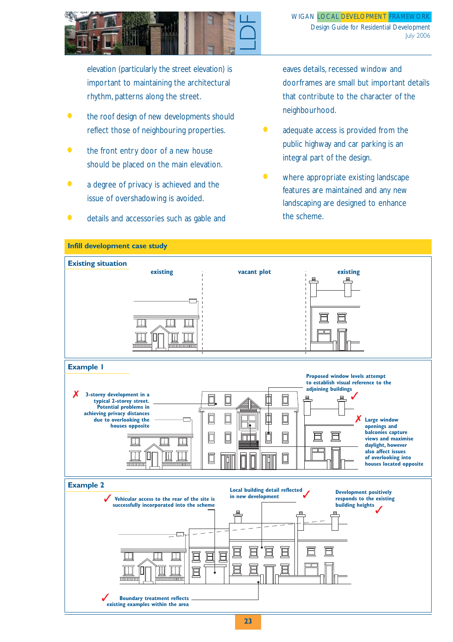

elevation (particularly the street elevation) is important to maintaining the architectural rhythm, patterns along the street.

- the roof design of new developments should reflect those of neighbouring properties.
- the front entry door of a new house should be placed on the main elevation.
- a degree of privacy is achieved and the issue of overshadowing is avoided.
- details and accessories such as gable and

eaves details, recessed window and doorframes are small but important details that contribute to the character of the neighbourhood.

- adequate access is provided from the public highway and car parking is an integral part of the design.
- where appropriate existing landscape features are maintained and any new landscaping are designed to enhance the scheme.

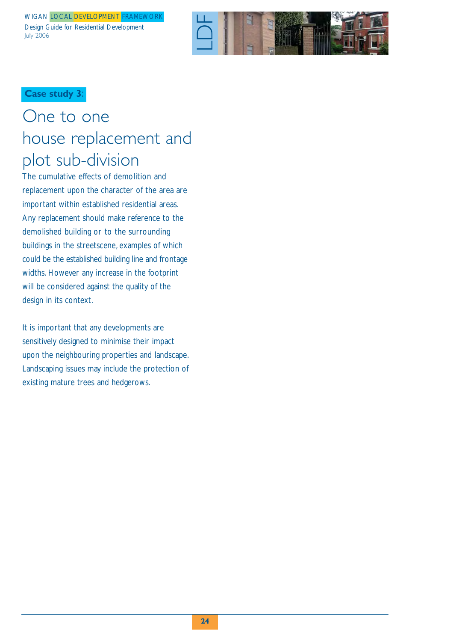

#### **Case study 3**:

# One to one house replacement and plot sub-division

The cumulative effects of demolition and replacement upon the character of the area are important within established residential areas. Any replacement should make reference to the demolished building or to the surrounding buildings in the streetscene, examples of which could be the established building line and frontage widths. However any increase in the footprint will be considered against the quality of the design in its context.

It is important that any developments are sensitively designed to minimise their impact upon the neighbouring properties and landscape. Landscaping issues may include the protection of existing mature trees and hedgerows.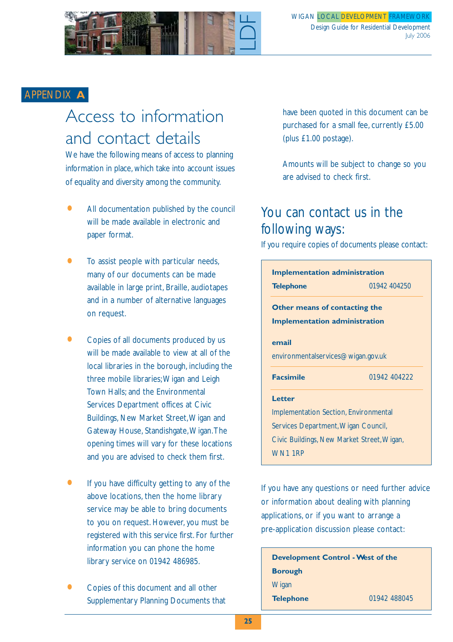

#### APPENDIX **A**

# Access to information and contact details

We have the following means of access to planning information in place, which take into account issues of equality and diversity among the community.

- All documentation published by the council will be made available in electronic and paper format.
- To assist people with particular needs, many of our documents can be made available in large print, Braille, audiotapes and in a number of alternative languages on request.
- Copies of all documents produced by us will be made available to view at all of the local libraries in the borough, including the three mobile libraries;Wigan and Leigh Town Halls; and the Environmental Services Department offices at Civic Buildings, New Market Street,Wigan and Gateway House, Standishgate,Wigan.The opening times will vary for these locations and you are advised to check them first.
- If you have difficulty getting to any of the above locations, then the home library service may be able to bring documents to you on request. However, you must be registered with this service first. For further information you can phone the home library service on 01942 486985.
- Copies of this document and all other Supplementary Planning Documents that

have been quoted in this document can be purchased for a small fee, currently £5.00 (plus £1.00 postage).

Amounts will be subject to change so you are advised to check first.

### You can contact us in the following ways:

If you require copies of documents please contact:

| <b>Implementation administration</b>         |              |
|----------------------------------------------|--------------|
| <b>Telephone</b>                             | 01942 404250 |
| <b>Other means of contacting the</b>         |              |
| <b>Implementation administration</b>         |              |
| email                                        |              |
| environmentalservices@wigan.gov.uk           |              |
| <b>Facsimile</b>                             | 01942 404222 |
| Letter                                       |              |
| <b>Implementation Section, Environmental</b> |              |
| Services Department, Wigan Council,          |              |
| Civic Buildings, New Market Street, Wigan,   |              |
| <b>WN1 1RP</b>                               |              |

If you have any questions or need further advice or information about dealing with planning applications, or if you want to arrange a pre-application discussion please contact:

| <b>Development Control - West of the</b> |              |
|------------------------------------------|--------------|
| <b>Borough</b>                           |              |
| Wigan                                    |              |
| <b>Telephone</b>                         | 01942 488045 |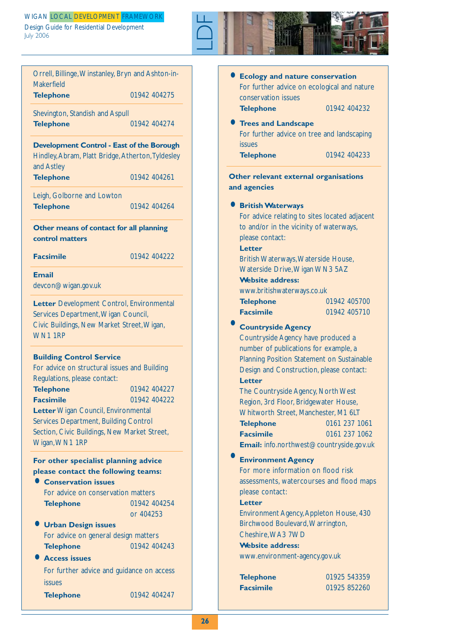#### WIGAN LOCAL DEVELOPMENT FRAMEWORK Design Guide for Residential Development July 2006



| Orrell, Billinge, Winstanley, Bryn and Ashton-in-<br><b>Makerfield</b><br><b>Telephone</b><br>01942 404275<br>Shevington, Standish and Aspull<br><b>Telephone</b><br>01942 404274<br><b>Development Control - East of the Borough</b><br>Hindley, Abram, Platt Bridge, Atherton, Tyldesley                                                       | <b>Ecology and nature conservation</b><br>$\bullet$<br>conservation issues<br><b>Telephone</b><br><b>• Trees and Landscape</b><br><b>issues</b><br><b>Telephone</b>                                                   | For further advice on ecological and nature<br>01942 404232<br>For further advice on tree and landscaping<br>01942 404233                                                   |
|--------------------------------------------------------------------------------------------------------------------------------------------------------------------------------------------------------------------------------------------------------------------------------------------------------------------------------------------------|-----------------------------------------------------------------------------------------------------------------------------------------------------------------------------------------------------------------------|-----------------------------------------------------------------------------------------------------------------------------------------------------------------------------|
| and Astley                                                                                                                                                                                                                                                                                                                                       |                                                                                                                                                                                                                       |                                                                                                                                                                             |
| <b>Telephone</b><br>01942 404261                                                                                                                                                                                                                                                                                                                 | Other relevant external organisations<br>and agencies                                                                                                                                                                 |                                                                                                                                                                             |
| Leigh, Golborne and Lowton<br><b>Telephone</b><br>01942 404264                                                                                                                                                                                                                                                                                   | <b>British Waterways</b><br>$\bullet$                                                                                                                                                                                 | For advice relating to sites located adjacent                                                                                                                               |
| Other means of contact for all planning<br>control matters                                                                                                                                                                                                                                                                                       | to and/or in the vicinity of waterways,<br>please contact:                                                                                                                                                            |                                                                                                                                                                             |
| <b>Facsimile</b><br>01942 404222                                                                                                                                                                                                                                                                                                                 | <b>Letter</b><br>British Waterways, Waterside House,                                                                                                                                                                  |                                                                                                                                                                             |
| <b>Email</b><br>devcon@wigan.gov.uk                                                                                                                                                                                                                                                                                                              | Waterside Drive, Wigan WN3 5AZ<br><b>Website address:</b><br>www.britishwaterways.co.uk                                                                                                                               |                                                                                                                                                                             |
| Letter Development Control, Environmental                                                                                                                                                                                                                                                                                                        | <b>Telephone</b>                                                                                                                                                                                                      | 01942 405700                                                                                                                                                                |
| Services Department, Wigan Council,                                                                                                                                                                                                                                                                                                              | <b>Facsimile</b>                                                                                                                                                                                                      | 01942 405710                                                                                                                                                                |
| Civic Buildings, New Market Street, Wigan,<br>WN1 1RP                                                                                                                                                                                                                                                                                            | <b>Countryside Agency</b><br>Countryside Agency have produced a                                                                                                                                                       |                                                                                                                                                                             |
| <b>Building Control Service</b><br>For advice on structural issues and Building<br>Regulations, please contact:<br><b>Telephone</b><br>01942 404227<br>01942 404222<br><b>Facsimile</b><br>Letter Wigan Council, Environmental<br><b>Services Department, Building Control</b><br>Section, Civic Buildings, New Market Street,<br>Wigan, WN1 1RP | number of publications for example, a<br><b>Letter</b><br>The Countryside Agency, North West<br>Region, 3rd Floor, Bridgewater House,<br>Whitworth Street, Manchester, M1 6LT<br><b>Telephone</b><br><b>Facsimile</b> | Planning Position Statement on Sustainable<br>Design and Construction, please contact:<br>0161 237 1061<br>0161 237 1062<br><b>Email:</b> info.northwest@countryside.gov.uk |
| For other specialist planning advice                                                                                                                                                                                                                                                                                                             | <b>Environment Agency</b>                                                                                                                                                                                             |                                                                                                                                                                             |
| please contact the following teams:<br><b>Conservation issues</b><br>For advice on conservation matters<br>01942 404254<br><b>Telephone</b><br>or 404253                                                                                                                                                                                         | For more information on flood risk<br>please contact:<br><b>Letter</b>                                                                                                                                                | assessments, watercourses and flood maps<br>Environment Agency, Appleton House, 430                                                                                         |
| <b>• Urban Design issues</b><br>For advice on general design matters<br><b>Telephone</b><br>01942 404243                                                                                                                                                                                                                                         | Birchwood Boulevard, Warrington,<br>Cheshire, WA3 7WD<br><b>Website address:</b>                                                                                                                                      |                                                                                                                                                                             |
| <b>Access issues</b>                                                                                                                                                                                                                                                                                                                             | www.environment-agency.gov.uk                                                                                                                                                                                         |                                                                                                                                                                             |
| For further advice and guidance on access<br><b>issues</b>                                                                                                                                                                                                                                                                                       | <b>Telephone</b><br><b>Facsimile</b>                                                                                                                                                                                  | 01925 543359<br>01925 852260                                                                                                                                                |
| 01942 404247<br><b>Telephone</b>                                                                                                                                                                                                                                                                                                                 |                                                                                                                                                                                                                       |                                                                                                                                                                             |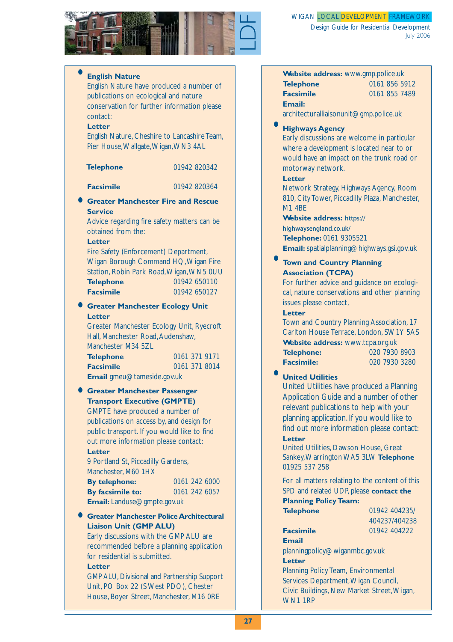

Design Guide for Residential Development July 2006



| <b>English Nature</b><br>English Nature have produced a number of<br>publications on ecological and nature<br>conservation for further information please<br>contact:<br><b>Letter</b><br>English Nature, Cheshire to Lancashire Team,<br>Pier House, Wallgate, Wigan, WN3 4AL                                                                                                                |
|-----------------------------------------------------------------------------------------------------------------------------------------------------------------------------------------------------------------------------------------------------------------------------------------------------------------------------------------------------------------------------------------------|
| 01942 820342<br><b>Telephone</b>                                                                                                                                                                                                                                                                                                                                                              |
| <b>Facsimile</b><br>01942 820364                                                                                                                                                                                                                                                                                                                                                              |
| <b>Greater Manchester Fire and Rescue</b>                                                                                                                                                                                                                                                                                                                                                     |
| <b>Service</b><br>Advice regarding fire safety matters can be<br>obtained from the:<br>Letter<br>Fire Safety (Enforcement) Department,<br>Wigan Borough Command HQ, Wigan Fire<br>Station, Robin Park Road, Wigan, WN5 0UU<br>01942 650110<br><b>Telephone</b><br><b>Facsimile</b><br>01942 650127                                                                                            |
| <b>Greater Manchester Ecology Unit</b>                                                                                                                                                                                                                                                                                                                                                        |
| Letter<br>Greater Manchester Ecology Unit, Ryecroft<br>Hall, Manchester Road, Audenshaw,<br>Manchester M34 5ZL<br>0161 371 9171<br><b>Telephone</b><br><b>Facsimile</b><br>0161 371 8014<br>Email gmeu@tameside.gov.uk                                                                                                                                                                        |
| <b>Greater Manchester Passenger</b>                                                                                                                                                                                                                                                                                                                                                           |
| <b>Transport Executive (GMPTE)</b><br>GMPTE have produced a number of<br>publications on access by, and design for<br>public transport. If you would like to find<br>out more information please contact:<br>Letter<br>9 Portland St, Piccadilly Gardens,<br>Manchester, M60 1HX<br>0161 242 6000<br><b>By telephone:</b><br>0161 242 6057<br>By facsimile to:<br>Email: Landuse@gmpte.gov.uk |
| <b>Greater Manchester Police Architectural</b>                                                                                                                                                                                                                                                                                                                                                |
| <b>Liaison Unit (GMP ALU)</b><br>Early discussions with the GMP ALU are<br>recommended before a planning application<br>for residential is submitted.<br>Letter<br><b>GMP ALU, Divisional and Partnership Support</b><br>Unit, PO Box 22 (S West PDO), Chester<br>House, Boyer Street, Manchester, M16 ORE                                                                                    |

| Website address: www.gmp.police.uk |               |
|------------------------------------|---------------|
| <b>Telephone</b>                   | 0161 856 5912 |
| <b>Facsimile</b>                   | 0161 855 7489 |
| Email:                             |               |
|                                    |               |

architecturalliaisonunit@gmp.police.uk

#### • **Highways Agency**

Early discussions are welcome in particular where a development is located near to or would have an impact on the trunk road or motorway network.

#### **Letter**

Network Strategy, Highways Agency, Room 810, City Tower, Piccadilly Plaza, Manchester, M1 4BE

**[Website address:](https://highwaysengland.co.uk/) https:// highwaysengland.co.uk/ Telephone:** 0161 9305521 **Email:** spatialplanning@highways.gsi.gov.uk

#### • **Town and Country Planning Association (TCPA)**

For further advice and guidance on ecological, nature conservations and other planning issues please contact,

#### **Letter**

Town and Country Planning Association, 17 Carlton House Terrace, London, SW1Y 5AS **Website address:** www.tcpa.org.uk

| <b>Telephone:</b> | 020 7930 8903 |
|-------------------|---------------|
| <b>Facsimile:</b> | 020 7930 3280 |

#### • **United Utilities**

United Utilities have produced a Planning Application Guide and a number of other relevant publications to help with your planning application. If you would like to find out more information please contact:

#### **Letter**

WN1 1RP

United Utilities, Dawson House, Great Sankey,Warrington WA5 3LW**Telephone**  01925 537 258

For all matters relating to the content of this SPD and related UDP, please **contact the Plan** 

| 01942 404235/                       |  |  |  |
|-------------------------------------|--|--|--|
| 404237/404238                       |  |  |  |
| 01942 404222                        |  |  |  |
|                                     |  |  |  |
| planningpolicy@wiganmbc.gov.uk      |  |  |  |
|                                     |  |  |  |
| Planning Policy Team, Environmental |  |  |  |
| Services Department, Wigan Council, |  |  |  |
|                                     |  |  |  |

Civic Buildings, New Market Street,Wigan,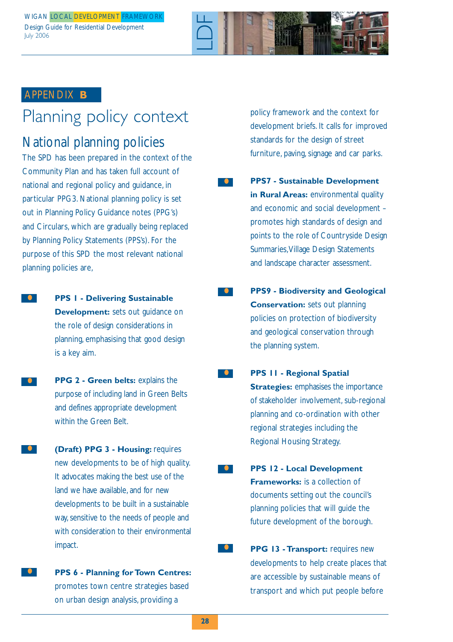

•

•

•

 $\bullet$ 

•

#### APPENDIX **B**

# Planning policy context

#### National planning policies

The SPD has been prepared in the context of the Community Plan and has taken full account of national and regional policy and guidance, in particular PPG3. National planning policy is set out in Planning Policy Guidance notes (PPG's) and Circulars, which are gradually being replaced by Planning Policy Statements (PPS's). For the purpose of this SPD the most relevant national planning policies are,

- **PPS 1 Delivering Sustainable Development:** sets out guidance on the role of design considerations in planning, emphasising that good design is a key aim. •
- **PPG 2 Green belts:** explains the purpose of including land in Green Belts and defines appropriate development within the Green Belt. •

•

- **(Draft) PPG 3 Housing:** requires new developments to be of high quality. It advocates making the best use of the land we have available, and for new developments to be built in a sustainable way, sensitive to the needs of people and with consideration to their environmental impact.
- **PPS 6 Planning for Town Centres:** promotes town centre strategies based on urban design analysis, providing a •

policy framework and the context for development briefs. It calls for improved standards for the design of street furniture, paving, signage and car parks.

- **PPS7 Sustainable Development in Rural Areas:** environmental quality and economic and social development – promotes high standards of design and points to the role of Countryside Design Summaries,Village Design Statements and landscape character assessment.
- **PPS9 Biodiversity and Geological Conservation:** sets out planning policies on protection of biodiversity and geological conservation through the planning system.
	- **PPS 11 Regional Spatial Strategies: emphasises the importance** of stakeholder involvement, sub-regional planning and co-ordination with other regional strategies including the Regional Housing Strategy.
- **PPS 12 Local Development Frameworks:** is a collection of documents setting out the council's planning policies that will guide the future development of the borough.
- **PPG 13 Transport:** requires new developments to help create places that are accessible by sustainable means of transport and which put people before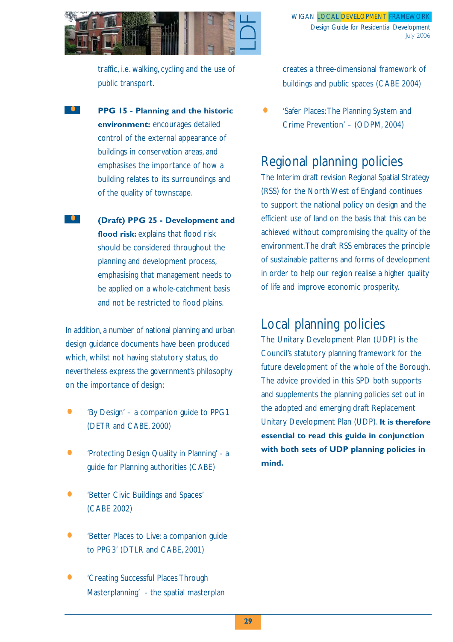

traffic, i.e. walking, cycling and the use of public transport.

- **PPG 15 Planning and the historic environment:** encourages detailed control of the external appearance of buildings in conservation areas, and emphasises the importance of how a building relates to its surroundings and of the quality of townscape.  $\bullet$
- **(Draft) PPG 25 Development and flood risk:** explains that flood risk should be considered throughout the planning and development process, emphasising that management needs to be applied on a whole-catchment basis and not be restricted to flood plains. •

In addition, a number of national planning and urban design guidance documents have been produced which, whilst not having statutory status, do nevertheless express the government's philosophy on the importance of design:

- 'By Design' a companion guide to PPG1 (DETR and CABE, 2000)
- 'Protecting Design Quality in Planning' a guide for Planning authorities (CABE)
- 'Better Civic Buildings and Spaces' (CABE 2002)
- 'Better Places to Live: a companion guide to PPG3' (DTLR and CABE, 2001)
- 'Creating Successful Places Through Masterplanning' - the spatial masterplan

creates a three-dimensional framework of buildings and public spaces (CABE 2004)

• 'Safer Places:The Planning System and Crime Prevention' – (ODPM, 2004)

### Regional planning policies

The Interim draft revision Regional Spatial Strategy (RSS) for the North West of England continues to support the national policy on design and the efficient use of land on the basis that this can be achieved without compromising the quality of the environment.The draft RSS embraces the principle of sustainable patterns and forms of development in order to help our region realise a higher quality of life and improve economic prosperity.

#### Local planning policies

The Unitary Development Plan (UDP) is the Council's statutory planning framework for the future development of the whole of the Borough. The advice provided in this SPD both supports and supplements the planning policies set out in the adopted and emerging draft Replacement Unitary Development Plan (UDP). **It is therefore essential to read this guide in conjunction with both sets of UDP planning policies in mind.**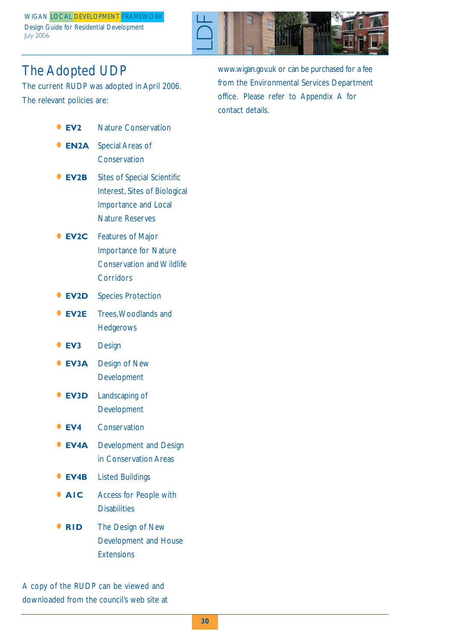

# The Adopted UDP

The current RUDP was adopted in April 2006. The relevant policies are:

- **EV2** Nature Conservation
- **EN2A** Special Areas of **Conservation**
- **EV2B** Sites of Special Scientific Interest, Sites of Biological Importance and Local Nature Reserves
- **EV2C** Features of Major Importance for Nature Conservation and Wildlife **Corridors**
- **EV2D** Species Protection
- **EV2E** Trees,Woodlands and **Hedgerows**
- **EV3** Design
- **EV3A** Design of New Development
- **EV3D** Landscaping of Development
- **EV4** Conservation
- **EV4A** Development and Design in Conservation Areas
- **EV4B** Listed Buildings
- **A1C** Access for People with **Disabilities**
- **R1D** The Design of New Development and House **Extensions**

A copy of the RUDP can be viewed and downloaded from the council's web site at www.wigan.gov.uk or can be purchased for a fee from the Environmental Services Department office. Please refer to Appendix A for contact details.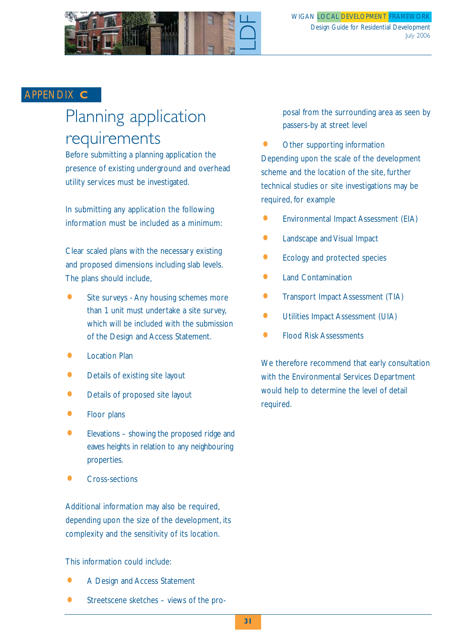

#### APPENDIX **C**

# Planning application requirements

Before submitting a planning application the presence of existing underground and overhead utility services must be investigated.

In submitting any application the following information must be included as a minimum:

Clear scaled plans with the necessary existing and proposed dimensions including slab levels. The plans should include,

- Site surveys Any housing schemes more than 1 unit must undertake a site survey, which will be included with the submission of the Design and Access Statement.
- Location Plan
- Details of existing site layout
- Details of proposed site layout
- Floor plans
- Elevations showing the proposed ridge and eaves heights in relation to any neighbouring properties.
- Cross-sections

Additional information may also be required, depending upon the size of the development, its complexity and the sensitivity of its location.

This information could include:

- A Design and Access Statement
- Streetscene sketches views of the pro-

posal from the surrounding area as seen by passers-by at street level

Other supporting information Depending upon the scale of the development scheme and the location of the site, further technical studies or site investigations may be required, for example

- Environmental Impact Assessment (EIA)
- Landscape and Visual Impact
- Ecology and protected species
- Land Contamination
- Transport Impact Assessment (TIA)
- Utilities Impact Assessment (UIA)
- Flood Risk Assessments

We therefore recommend that early consultation with the Environmental Services Department would help to determine the level of detail required.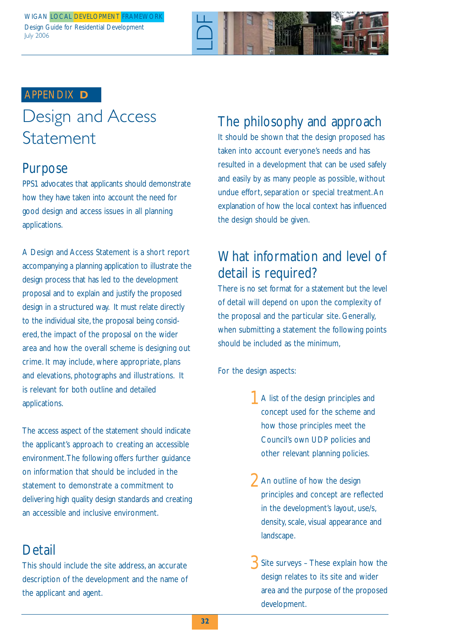

#### APPENDIX **D**

# Design and Access Statement

#### Purpose

PPS1 advocates that applicants should demonstrate how they have taken into account the need for good design and access issues in all planning applications.

A Design and Access Statement is a short report accompanying a planning application to illustrate the design process that has led to the development proposal and to explain and justify the proposed design in a structured way. It must relate directly to the individual site, the proposal being considered, the impact of the proposal on the wider area and how the overall scheme is designing out crime. It may include, where appropriate, plans and elevations, photographs and illustrations. It is relevant for both outline and detailed applications.

The access aspect of the statement should indicate the applicant's approach to creating an accessible environment.The following offers further guidance on information that should be included in the statement to demonstrate a commitment to delivering high quality design standards and creating an accessible and inclusive environment.

#### Detail

This should include the site address, an accurate description of the development and the name of the applicant and agent.

## The philosophy and approach

It should be shown that the design proposed has taken into account everyone's needs and has resulted in a development that can be used safely and easily by as many people as possible, without undue effort, separation or special treatment.An explanation of how the local context has influenced the design should be given.

### What information and level of detail is required?

There is no set format for a statement but the level of detail will depend on upon the complexity of the proposal and the particular site. Generally, when submitting a statement the following points should be included as the minimum,

For the design aspects:

- A list of the design principles and concept used for the scheme and how those principles meet the Council's own UDP policies and other relevant planning policies.
- 2 An outline of how the design principles and concept are reflected in the development's layout, use/s, density, scale, visual appearance and landscape.
- $\mathcal{S}$  Site surveys These explain how the design relates to its site and wider area and the purpose of the proposed development.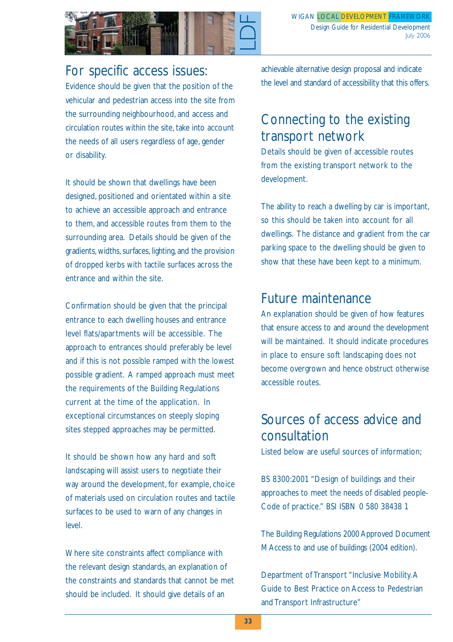

#### For specific access issues:

Evidence should be given that the position of the vehicular and pedestrian access into the site from the surrounding neighbourhood, and access and circulation routes within the site, take into account the needs of all users regardless of age, gender or disability.

It should be shown that dwellings have been designed, positioned and orientated within a site to achieve an accessible approach and entrance to them, and accessible routes from them to the surrounding area. Details should be given of the gradients, widths, surfaces, lighting, and the provision of dropped kerbs with tactile surfaces across the entrance and within the site.

Confirmation should be given that the principal entrance to each dwelling houses and entrance level flats/apartments will be accessible. The approach to entrances should preferably be level and if this is not possible ramped with the lowest possible gradient. A ramped approach must meet the requirements of the Building Regulations current at the time of the application. In exceptional circumstances on steeply sloping sites stepped approaches may be permitted.

It should be shown how any hard and soft landscaping will assist users to negotiate their way around the development, for example, choice of materials used on circulation routes and tactile surfaces to be used to warn of any changes in level.

Where site constraints affect compliance with the relevant design standards, an explanation of the constraints and standards that cannot be met should be included. It should give details of an

achievable alternative design proposal and indicate the level and standard of accessibility that this offers.

### Connecting to the existing transport network

Details should be given of accessible routes from the existing transport network to the development.

The ability to reach a dwelling by car is important, so this should be taken into account for all dwellings. The distance and gradient from the car parking space to the dwelling should be given to show that these have been kept to a minimum.

#### Future maintenance

An explanation should be given of how features that ensure access to and around the development will be maintained. It should indicate procedures in place to ensure soft landscaping does not become overgrown and hence obstruct otherwise accessible routes.

#### Sources of access advice and consultation

Listed below are useful sources of information;

BS 8300:2001 "Design of buildings and their approaches to meet the needs of disabled people-Code of practice." BSI ISBN 0 580 38438 1

The Building Regulations 2000 Approved Document M Access to and use of buildings (2004 edition).

Department of Transport "Inclusive Mobility.A Guide to Best Practice on Access to Pedestrian and Transport Infrastructure"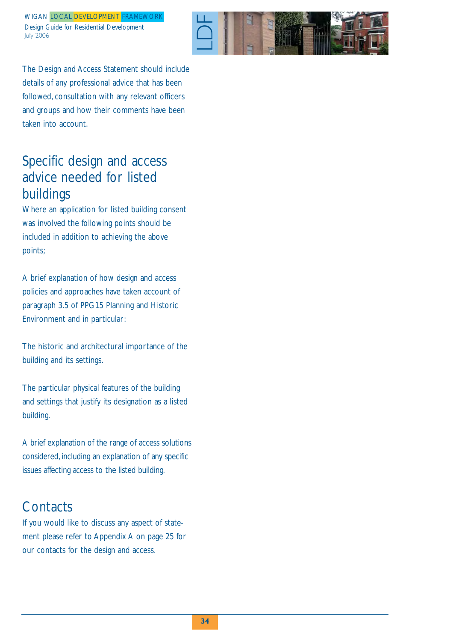

The Design and Access Statement should include details of any professional advice that has been followed, consultation with any relevant officers and groups and how their comments have been taken into account.

#### Specific design and access advice needed for listed buildings

Where an application for listed building consent was involved the following points should be included in addition to achieving the above points;

A brief explanation of how design and access policies and approaches have taken account of paragraph 3.5 of PPG15 Planning and Historic Environment and in particular:

The historic and architectural importance of the building and its settings.

The particular physical features of the building and settings that justify its designation as a listed building.

A brief explanation of the range of access solutions considered, including an explanation of any specific issues affecting access to the listed building.

#### **Contacts**

If you would like to discuss any aspect of statement please refer to Appendix A on page 25 for our contacts for the design and access.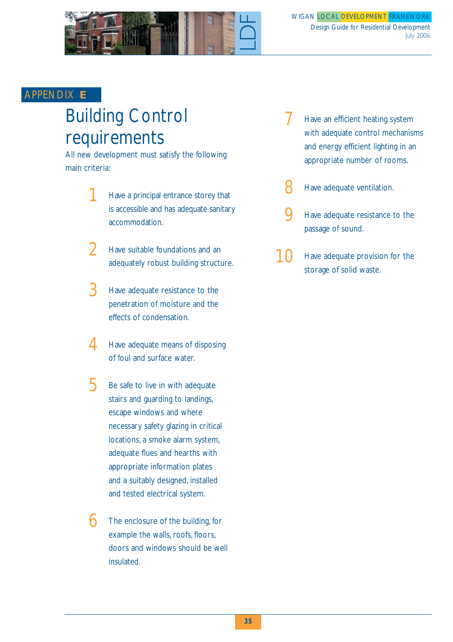

#### APPENDIX **E**

# Building Control requirements

All new development must satisfy the following main criteria:

- 1 Have a principal entrance storey that is accessible and has adequate sanitary accommodation.
- Have suitable foundations and an adequately robust building structure.
- 3 Have adequate resistance to the penetration of moisture and the effects of condensation.
- $\mathbf 4$  Have adequate means of disposing of foul and surface water.
- $\overline{5}$  Be safe to live in with adequate stairs and guarding to landings, escape windows and where necessary safety glazing in critical locations, a smoke alarm system, adequate flues and hearths with appropriate information plates and a suitably designed, installed and tested electrical system.
- The enclosure of the building, for example the walls, roofs, floors, doors and windows should be well insulated.
- Have an efficient heating system with adequate control mechanisms and energy efficient lighting in an appropriate number of rooms.
- 8 Have adequate ventilation.
- **9** Have adequate resistance to the passage of sound.
- 10 Have adequate provision for the storage of solid waste.